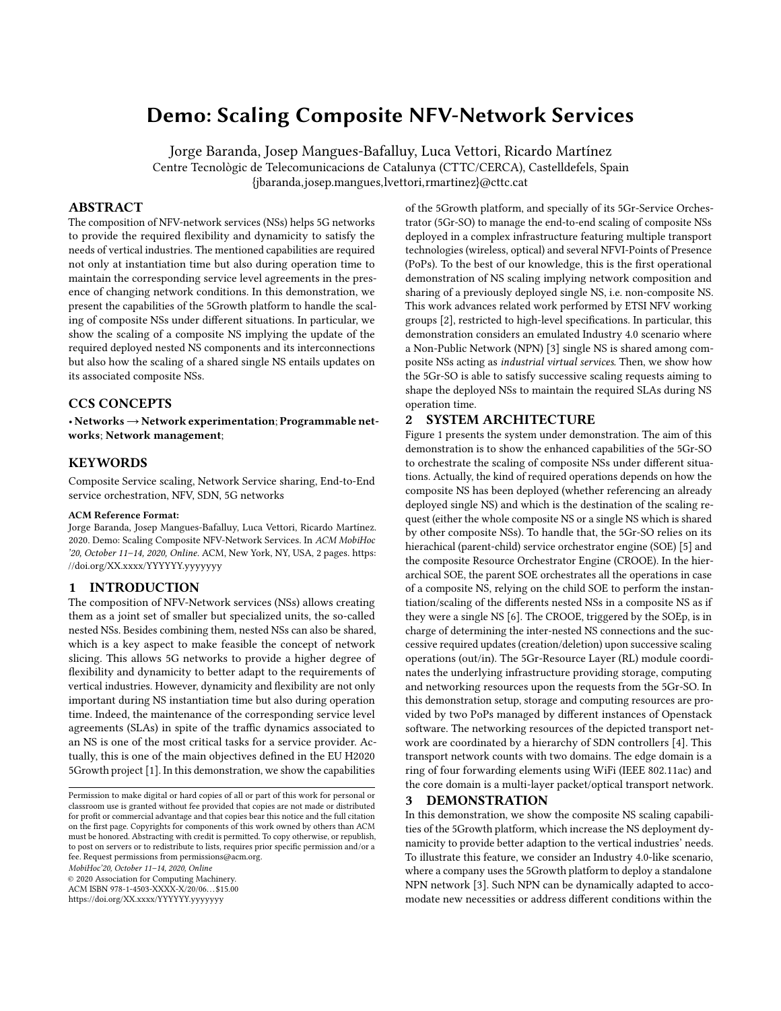# Demo: Scaling Composite NFV-Network Services

Jorge Baranda, Josep Mangues-Bafalluy, Luca Vettori, Ricardo Martínez Centre Tecnològic de Telecomunicacions de Catalunya (CTTC/CERCA), Castelldefels, Spain {jbaranda,josep.mangues,lvettori,rmartinez}@cttc.cat

# ABSTRACT

The composition of NFV-network services (NSs) helps 5G networks to provide the required flexibility and dynamicity to satisfy the needs of vertical industries. The mentioned capabilities are required not only at instantiation time but also during operation time to maintain the corresponding service level agreements in the presence of changing network conditions. In this demonstration, we present the capabilities of the 5Growth platform to handle the scaling of composite NSs under different situations. In particular, we show the scaling of a composite NS implying the update of the required deployed nested NS components and its interconnections but also how the scaling of a shared single NS entails updates on its associated composite NSs.

# CCS CONCEPTS

• Networks→Network experimentation; Programmable networks; Network management;

## KEYWORDS

Composite Service scaling, Network Service sharing, End-to-End service orchestration, NFV, SDN, 5G networks

#### ACM Reference Format:

Jorge Baranda, Josep Mangues-Bafalluy, Luca Vettori, Ricardo Martínez. 2020. Demo: Scaling Composite NFV-Network Services. In ACM MobiHoc '20, October 11–14, 2020, Online. ACM, New York, NY, USA, [2](#page-1-0) pages. [https:](https://doi.org/XX.xxxx/YYYYYY.yyyyyyy) [//doi.org/XX.xxxx/YYYYYY.yyyyyyy](https://doi.org/XX.xxxx/YYYYYY.yyyyyyy)

# 1 INTRODUCTION

The composition of NFV-Network services (NSs) allows creating them as a joint set of smaller but specialized units, the so-called nested NSs. Besides combining them, nested NSs can also be shared, which is a key aspect to make feasible the concept of network slicing. This allows 5G networks to provide a higher degree of flexibility and dynamicity to better adapt to the requirements of vertical industries. However, dynamicity and flexibility are not only important during NS instantiation time but also during operation time. Indeed, the maintenance of the corresponding service level agreements (SLAs) in spite of the traffic dynamics associated to an NS is one of the most critical tasks for a service provider. Actually, this is one of the main objectives defined in the EU H2020 5Growth project [\[1\]](#page-1-1). In this demonstration, we show the capabilities

MobiHoc'20, October 11–14, 2020, Online

© 2020 Association for Computing Machinery.

ACM ISBN 978-1-4503-XXXX-X/20/06. . . \$15.00 <https://doi.org/XX.xxxx/YYYYYY.yyyyyyy>

of the 5Growth platform, and specially of its 5Gr-Service Orchestrator (5Gr-SO) to manage the end-to-end scaling of composite NSs deployed in a complex infrastructure featuring multiple transport technologies (wireless, optical) and several NFVI-Points of Presence (PoPs). To the best of our knowledge, this is the first operational demonstration of NS scaling implying network composition and sharing of a previously deployed single NS, i.e. non-composite NS. This work advances related work performed by ETSI NFV working groups [\[2\]](#page-1-2), restricted to high-level specifications. In particular, this demonstration considers an emulated Industry 4.0 scenario where a Non-Public Network (NPN) [\[3\]](#page-1-3) single NS is shared among composite NSs acting as industrial virtual services. Then, we show how the 5Gr-SO is able to satisfy successive scaling requests aiming to shape the deployed NSs to maintain the required SLAs during NS operation time.

### 2 SYSTEM ARCHITECTURE

Figure [1](#page-1-4) presents the system under demonstration. The aim of this demonstration is to show the enhanced capabilities of the 5Gr-SO to orchestrate the scaling of composite NSs under different situations. Actually, the kind of required operations depends on how the composite NS has been deployed (whether referencing an already deployed single NS) and which is the destination of the scaling request (either the whole composite NS or a single NS which is shared by other composite NSs). To handle that, the 5Gr-SO relies on its hierachical (parent-child) service orchestrator engine (SOE) [\[5\]](#page-1-5) and the composite Resource Orchestrator Engine (CROOE). In the hierarchical SOE, the parent SOE orchestrates all the operations in case of a composite NS, relying on the child SOE to perform the instantiation/scaling of the differents nested NSs in a composite NS as if they were a single NS [\[6\]](#page-1-6). The CROOE, triggered by the SOEp, is in charge of determining the inter-nested NS connections and the successive required updates (creation/deletion) upon successive scaling operations (out/in). The 5Gr-Resource Layer (RL) module coordinates the underlying infrastructure providing storage, computing and networking resources upon the requests from the 5Gr-SO. In this demonstration setup, storage and computing resources are provided by two PoPs managed by different instances of Openstack software. The networking resources of the depicted transport network are coordinated by a hierarchy of SDN controllers [\[4\]](#page-1-7). This transport network counts with two domains. The edge domain is a ring of four forwarding elements using WiFi (IEEE 802.11ac) and the core domain is a multi-layer packet/optical transport network.

### 3 DEMONSTRATION

In this demonstration, we show the composite NS scaling capabilities of the 5Growth platform, which increase the NS deployment dynamicity to provide better adaption to the vertical industries' needs. To illustrate this feature, we consider an Industry 4.0-like scenario, where a company uses the 5Growth platform to deploy a standalone NPN network [\[3\]](#page-1-3). Such NPN can be dynamically adapted to accomodate new necessities or address different conditions within the

Permission to make digital or hard copies of all or part of this work for personal or classroom use is granted without fee provided that copies are not made or distributed for profit or commercial advantage and that copies bear this notice and the full citation on the first page. Copyrights for components of this work owned by others than ACM must be honored. Abstracting with credit is permitted. To copy otherwise, or republish, to post on servers or to redistribute to lists, requires prior specific permission and/or a fee. Request permissions from permissions@acm.org.